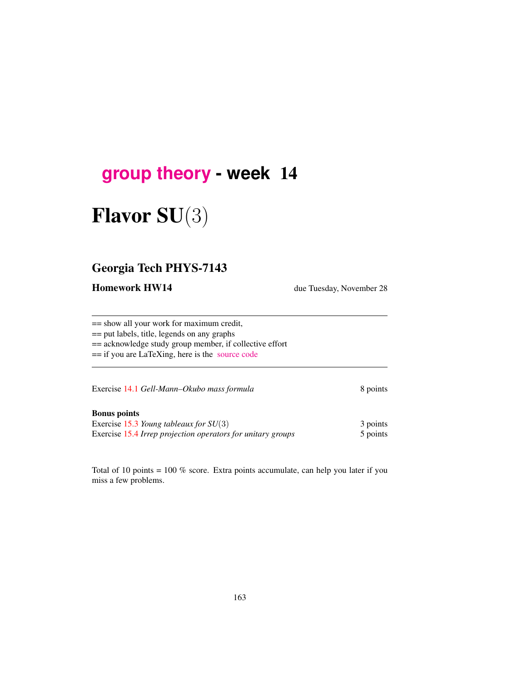## **[group theory](http://birdtracks.eu/courses/PHYS-7143-17/schedule.html) - week** 14

# Flavor SU(3)

### Georgia Tech PHYS-7143

Homework HW14 due Tuesday, November 28

== show all your work for maximum credit,

== put labels, title, legends on any graphs

== acknowledge study group member, if collective effort

== if you are LaTeXing, here is the [source code](http://birdtracks.eu/courses/PHYS-7143-17/exerWeek14.tex)

Exercise 14.1 *Gell-Mann–Okubo mass formula* 8 points

#### Bonus points

Exercise 15.3 *Young tableaux for SU*(3) 3 points Exercise 15.4 *Irrep projection operators for unitary groups* 5 points

Total of 10 points = 100 % score. Extra points accumulate, can help you later if you miss a few problems.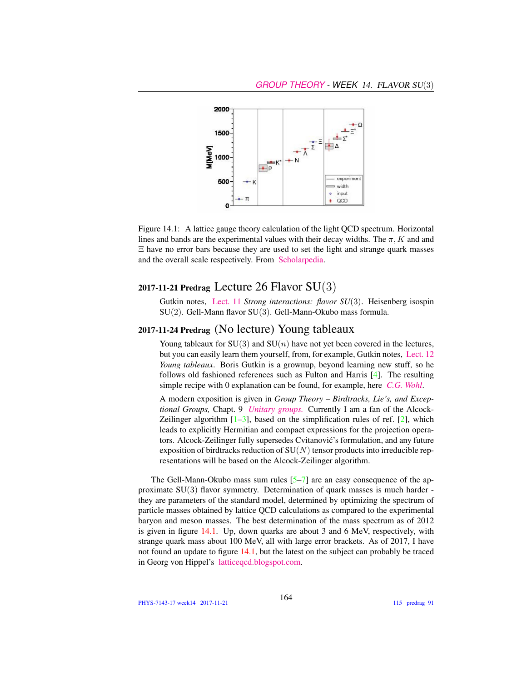

Figure 14.1: A lattice gauge theory calculation of the light QCD spectrum. Horizontal lines and bands are the experimental values with their decay widths. The  $\pi$ , K and and Ξ have no error bars because they are used to set the light and strange quark masses and the overall scale respectively. From [Scholarpedia.](http://www.scholarpedia.org/article/Lattice_gauge_theories)

#### 2017-11-21 Predrag Lecture 26 Flavor  $SU(3)$

Gutkin notes, [Lect. 11](http://birdtracks.eu/courses/PHYS-7143-17/groups.pdf) *Strong interactions: flavor SU*(3). Heisenberg isospin SU(2). Gell-Mann flavor SU(3). Gell-Mann-Okubo mass formula.

#### 2017-11-24 Predrag (No lecture) Young tableaux

Young tableaux for  $SU(3)$  and  $SU(n)$  have not yet been covered in the lectures, but you can easily learn them yourself, from, for example, Gutkin notes, [Lect. 12](http://birdtracks.eu/courses/PHYS-7143-17/groups.pdf) *Young tableaux*. Boris Gutkin is a grownup, beyond learning new stuff, so he follows old fashioned references such as Fulton and Harris [4]. The resulting simple recipe with 0 explanation can be found, for example, here *[C.G. Wohl](http://pdg.lbl.gov/2010/reviews/rpp2010-rev-young-diagrams.pdf)*.

A modern exposition is given in *Group Theory – Birdtracks, Lie's, and Exceptional Groups,* Chapt. 9 *[Unitary groups.](http://birdtracks.eu/version9.0/GroupTheory.pdf)* Currently I am a fan of the Alcock-Zeilinger algorithm  $[1-3]$ , based on the simplification rules of ref.  $[2]$ , which leads to explicitly Hermitian and compact expressions for the projection operators. Alcock-Zeilinger fully supersedes Cvitanovic's formulation, and any future ´ exposition of birdtracks reduction of  $SU(N)$  tensor products into irreducible representations will be based on the Alcock-Zeilinger algorithm.

The Gell-Mann-Okubo mass sum rules  $[5-7]$  are an easy consequence of the approximate SU(3) flavor symmetry. Determination of quark masses is much harder they are parameters of the standard model, determined by optimizing the spectrum of particle masses obtained by lattice QCD calculations as compared to the experimental baryon and meson masses. The best determination of the mass spectrum as of 2012 is given in figure 14.1. Up, down quarks are about 3 and 6 MeV, respectively, with strange quark mass about 100 MeV, all with large error brackets. As of 2017, I have not found an update to figure 14.1, but the latest on the subject can probably be traced in Georg von Hippel's [latticeqcd.blogspot.com.](http://latticeqcd.blogspot.com/)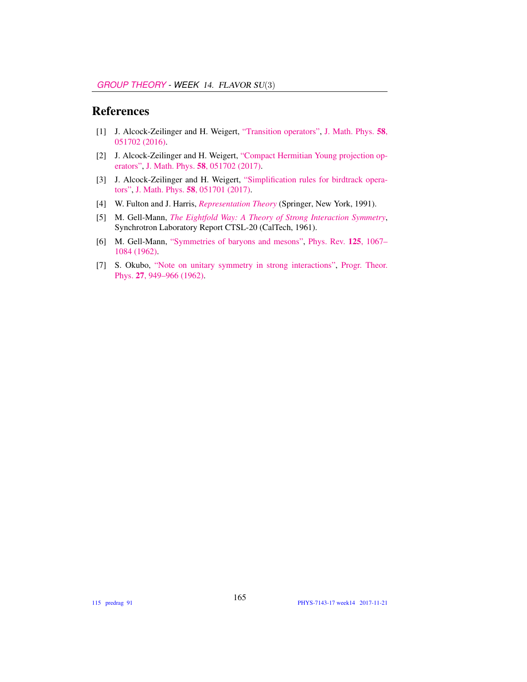#### References

- [1] J. Alcock-Zeilinger and H. Weigert, ["Transition operators",](http://dx.doi.org/10.1063/1.4983478) [J. Math. Phys.](http://dx.doi.org/10.1063/1.4983478) 58, [051702 \(2016\).](http://dx.doi.org/10.1063/1.4983478)
- [2] J. Alcock-Zeilinger and H. Weigert, ["Compact Hermitian Young projection op](http://dx.doi.org/10.1063/1.4983478)[erators",](http://dx.doi.org/10.1063/1.4983478) J. Math. Phys. 58[, 051702 \(2017\).](http://dx.doi.org/10.1063/1.4983478)
- [3] J. Alcock-Zeilinger and H. Weigert, ["Simplification rules for birdtrack opera](http://dx.doi.org/10.1063/1.4983477)[tors",](http://dx.doi.org/10.1063/1.4983477) J. Math. Phys. 58[, 051701 \(2017\).](http://dx.doi.org/10.1063/1.4983477)
- [4] W. Fulton and J. Harris, *[Representation Theory](http://dx.doi.org/10.1007/978-1-4612-0979-9)* (Springer, New York, 1991).
- [5] M. Gell-Mann, *[The Eightfold Way: A Theory of Strong Interaction Symmetry](http://dx.doi.org/10.2172/4008239)*, Synchrotron Laboratory Report CTSL-20 (CalTech, 1961).
- [6] M. Gell-Mann, ["Symmetries of baryons and mesons",](http://dx.doi.org/10.1103/PhysRev.125.1067) [Phys. Rev.](http://dx.doi.org/10.1103/PhysRev.125.1067) 125, 1067– [1084 \(1962\).](http://dx.doi.org/10.1103/PhysRev.125.1067)
- [7] S. Okubo, ["Note on unitary symmetry in strong interactions",](http://dx.doi.org/10.1143/PTP.27.949) [Progr. Theor.](http://dx.doi.org/10.1143/PTP.27.949) Phys. 27[, 949–966 \(1962\).](http://dx.doi.org/10.1143/PTP.27.949)